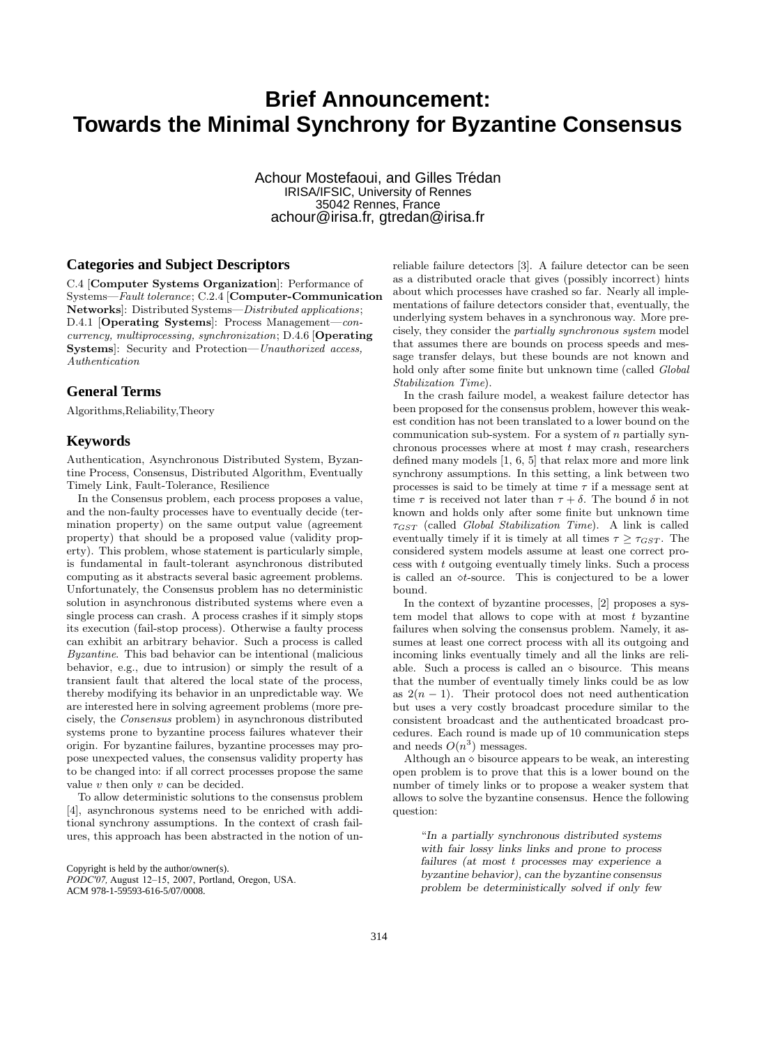# **Brief Announcement: Towards the Minimal Synchrony for Byzantine Consensus**

Achour Mostefaoui, and Gilles Trédan IRISA/IFSIC, University of Rennes 35042 Rennes, France achour@irisa.fr, gtredan@irisa.fr

#### **Categories and Subject Descriptors**

C.4 [Computer Systems Organization]: Performance of Systems—Fault tolerance; C.2.4 [Computer-Communication Networks]: Distributed Systems—Distributed applications; D.4.1 [Operating Systems]: Process Management—concurrency, multiprocessing, synchronization; D.4.6 [Operating Systems]: Security and Protection—Unauthorized access, Authentication

#### **General Terms**

Algorithms,Reliability,Theory

#### **Keywords**

Authentication, Asynchronous Distributed System, Byzantine Process, Consensus, Distributed Algorithm, Eventually Timely Link, Fault-Tolerance, Resilience

In the Consensus problem, each process proposes a value, and the non-faulty processes have to eventually decide (termination property) on the same output value (agreement property) that should be a proposed value (validity property). This problem, whose statement is particularly simple, is fundamental in fault-tolerant asynchronous distributed computing as it abstracts several basic agreement problems. Unfortunately, the Consensus problem has no deterministic solution in asynchronous distributed systems where even a single process can crash. A process crashes if it simply stops its execution (fail-stop process). Otherwise a faulty process can exhibit an arbitrary behavior. Such a process is called Byzantine. This bad behavior can be intentional (malicious behavior, e.g., due to intrusion) or simply the result of a transient fault that altered the local state of the process, thereby modifying its behavior in an unpredictable way. We are interested here in solving agreement problems (more precisely, the Consensus problem) in asynchronous distributed systems prone to byzantine process failures whatever their origin. For byzantine failures, byzantine processes may propose unexpected values, the consensus validity property has to be changed into: if all correct processes propose the same value  $v$  then only  $v$  can be decided.

To allow deterministic solutions to the consensus problem [4], asynchronous systems need to be enriched with additional synchrony assumptions. In the context of crash failures, this approach has been abstracted in the notion of unreliable failure detectors [3]. A failure detector can be seen as a distributed oracle that gives (possibly incorrect) hints about which processes have crashed so far. Nearly all implementations of failure detectors consider that, eventually, the underlying system behaves in a synchronous way. More precisely, they consider the partially synchronous system model that assumes there are bounds on process speeds and message transfer delays, but these bounds are not known and hold only after some finite but unknown time (called Global Stabilization Time).

In the crash failure model, a weakest failure detector has been proposed for the consensus problem, however this weakest condition has not been translated to a lower bound on the communication sub-system. For a system of  $n$  partially synchronous processes where at most  $t$  may crash, researchers defined many models [1, 6, 5] that relax more and more link synchrony assumptions. In this setting, a link between two processes is said to be timely at time  $\tau$  if a message sent at time  $\tau$  is received not later than  $\tau + \delta$ . The bound  $\delta$  in not known and holds only after some finite but unknown time  $\tau_{GST}$  (called *Global Stabilization Time*). A link is called eventually timely if it is timely at all times  $\tau \geq \tau_{GST}$ . The considered system models assume at least one correct pro- $\cos$  with  $t$  outgoing eventually timely links. Such a process is called an  $\circ t$ -source. This is conjectured to be a lower bound.

In the context of byzantine processes, [2] proposes a system model that allows to cope with at most  $t$  byzantine failures when solving the consensus problem. Namely, it assumes at least one correct process with all its outgoing and incoming links eventually timely and all the links are reliable. Such a process is called an  $\diamond$  bisource. This means that the number of eventually timely links could be as low as  $2(n-1)$ . Their protocol does not need authentication but uses a very costly broadcast procedure similar to the consistent broadcast and the authenticated broadcast procedures. Each round is made up of 10 communication steps and needs  $O(n^3)$  messages.

Although an  $\diamond$  bisource appears to be weak, an interesting open problem is to prove that this is a lower bound on the number of timely links or to propose a weaker system that allows to solve the byzantine consensus. Hence the following question:

"In a partially synchronous distributed systems with fair lossy links links and prone to process failures (at most t processes may experience a byzantine behavior), can the byzantine consensus problem be deterministically solved if only few

Copyright is held by the author/owner(s).

*PODC'07,* August 12–15, 2007, Portland, Oregon, USA. ACM 978-1-59593-616-5/07/0008.